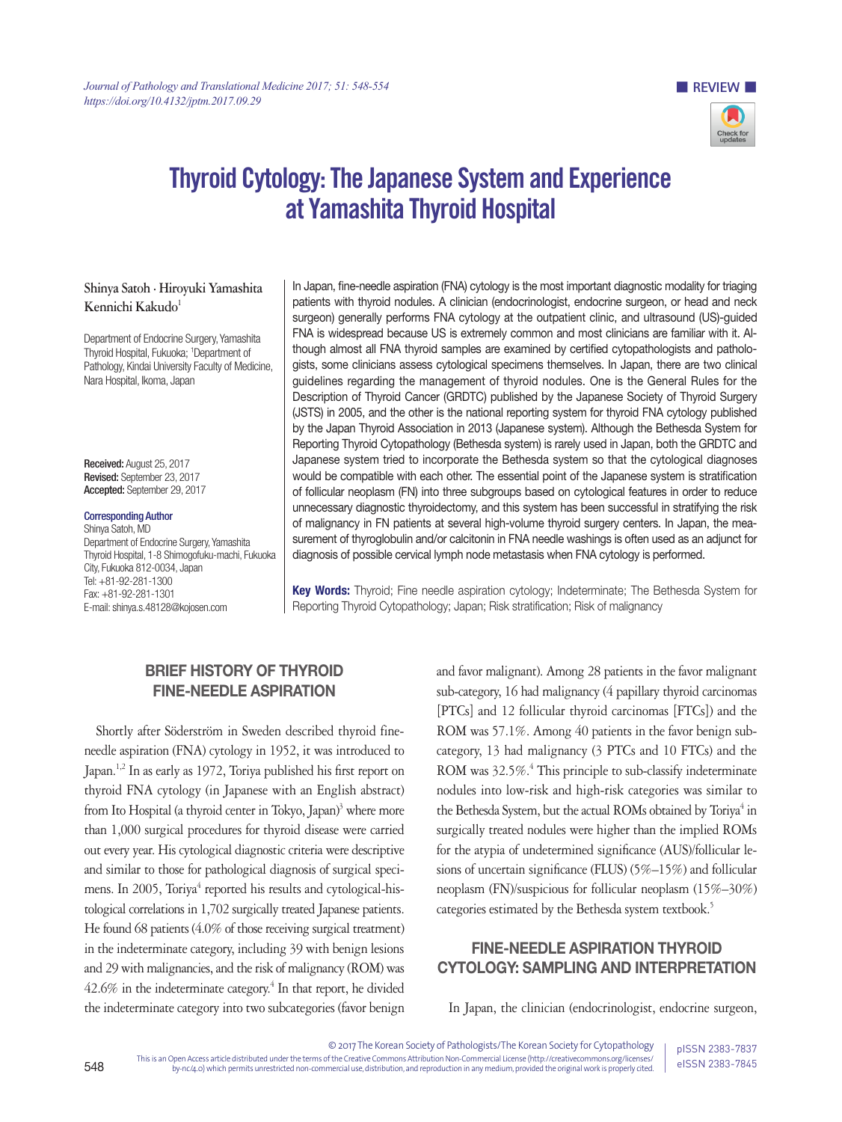

**EXPLOSIVE REVIEW IN** 

# Thyroid Cytology: The Japanese System and Experience at Yamashita Thyroid Hospital

### **Shinya Satoh · Hiroyuki Yamashita** Kennichi Kakudo<sup>1</sup>

Department of Endocrine Surgery, Yamashita Thyroid Hospital, Fukuoka; 1 Department of Pathology, Kindai University Faculty of Medicine, Nara Hospital, Ikoma, Japan

Received: August 25, 2017 Revised: September 23, 2017 Accepted: September 29, 2017

548

Corresponding Author Shinya Satoh, MD Department of Endocrine Surgery, Yamashita Thyroid Hospital, 1-8 Shimogofuku-machi, Fukuoka City, Fukuoka 812-0034, Japan Tel: +81-92-281-1300 Fax: +81-92-281-1301 E-mail: shinya.s.48128@kojosen.com

In Japan, fine-needle aspiration (FNA) cytology is the most important diagnostic modality for triaging patients with thyroid nodules. A clinician (endocrinologist, endocrine surgeon, or head and neck surgeon) generally performs FNA cytology at the outpatient clinic, and ultrasound (US)-guided FNA is widespread because US is extremely common and most clinicians are familiar with it. Although almost all FNA thyroid samples are examined by certified cytopathologists and pathologists, some clinicians assess cytological specimens themselves. In Japan, there are two clinical guidelines regarding the management of thyroid nodules. One is the General Rules for the Description of Thyroid Cancer (GRDTC) published by the Japanese Society of Thyroid Surgery (JSTS) in 2005, and the other is the national reporting system for thyroid FNA cytology published by the Japan Thyroid Association in 2013 (Japanese system). Although the Bethesda System for Reporting Thyroid Cytopathology (Bethesda system) is rarely used in Japan, both the GRDTC and Japanese system tried to incorporate the Bethesda system so that the cytological diagnoses would be compatible with each other. The essential point of the Japanese system is stratification of follicular neoplasm (FN) into three subgroups based on cytological features in order to reduce unnecessary diagnostic thyroidectomy, and this system has been successful in stratifying the risk of malignancy in FN patients at several high-volume thyroid surgery centers. In Japan, the measurement of thyroglobulin and/or calcitonin in FNA needle washings is often used as an adjunct for diagnosis of possible cervical lymph node metastasis when FNA cytology is performed.

Key Words: Thyroid; Fine needle aspiration cytology; Indeterminate; The Bethesda System for Reporting Thyroid Cytopathology; Japan; Risk stratification; Risk of malignancy

## BRIEF HISTORY OF THYROID FINE-NEEDLE ASPIRATION

Shortly after Söderström in Sweden described thyroid fineneedle aspiration (FNA) cytology in 1952, it was introduced to Japan.<sup>1,2</sup> In as early as 1972, Toriya published his first report on thyroid FNA cytology (in Japanese with an English abstract) from Ito Hospital (a thyroid center in Tokyo, Japan)<sup>3</sup> where more than 1,000 surgical procedures for thyroid disease were carried out every year. His cytological diagnostic criteria were descriptive and similar to those for pathological diagnosis of surgical specimens. In 2005, Toriya<sup>4</sup> reported his results and cytological-histological correlations in 1,702 surgically treated Japanese patients. He found 68 patients (4.0% of those receiving surgical treatment) in the indeterminate category, including 39 with benign lesions and 29 with malignancies, and the risk of malignancy (ROM) was  $42.6\%$  in the indeterminate category.<sup>4</sup> In that report, he divided the indeterminate category into two subcategories (favor benign and favor malignant). Among 28 patients in the favor malignant sub-category, 16 had malignancy (4 papillary thyroid carcinomas [PTCs] and 12 follicular thyroid carcinomas [FTCs]) and the ROM was 57.1%. Among 40 patients in the favor benign subcategory, 13 had malignancy (3 PTCs and 10 FTCs) and the ROM was 32.5%.<sup>4</sup> This principle to sub-classify indeterminate nodules into low-risk and high-risk categories was similar to the Bethesda System, but the actual ROMs obtained by Toriya<sup>4</sup> in surgically treated nodules were higher than the implied ROMs for the atypia of undetermined significance (AUS)/follicular lesions of uncertain significance (FLUS) (5%–15%) and follicular neoplasm (FN)/suspicious for follicular neoplasm (15%–30%) categories estimated by the Bethesda system textbook.<sup>5</sup>

# FINE-NEEDLE ASPIRATION THYROID CYTOLOGY: SAMPLING AND INTERPRETATION

In Japan, the clinician (endocrinologist, endocrine surgeon,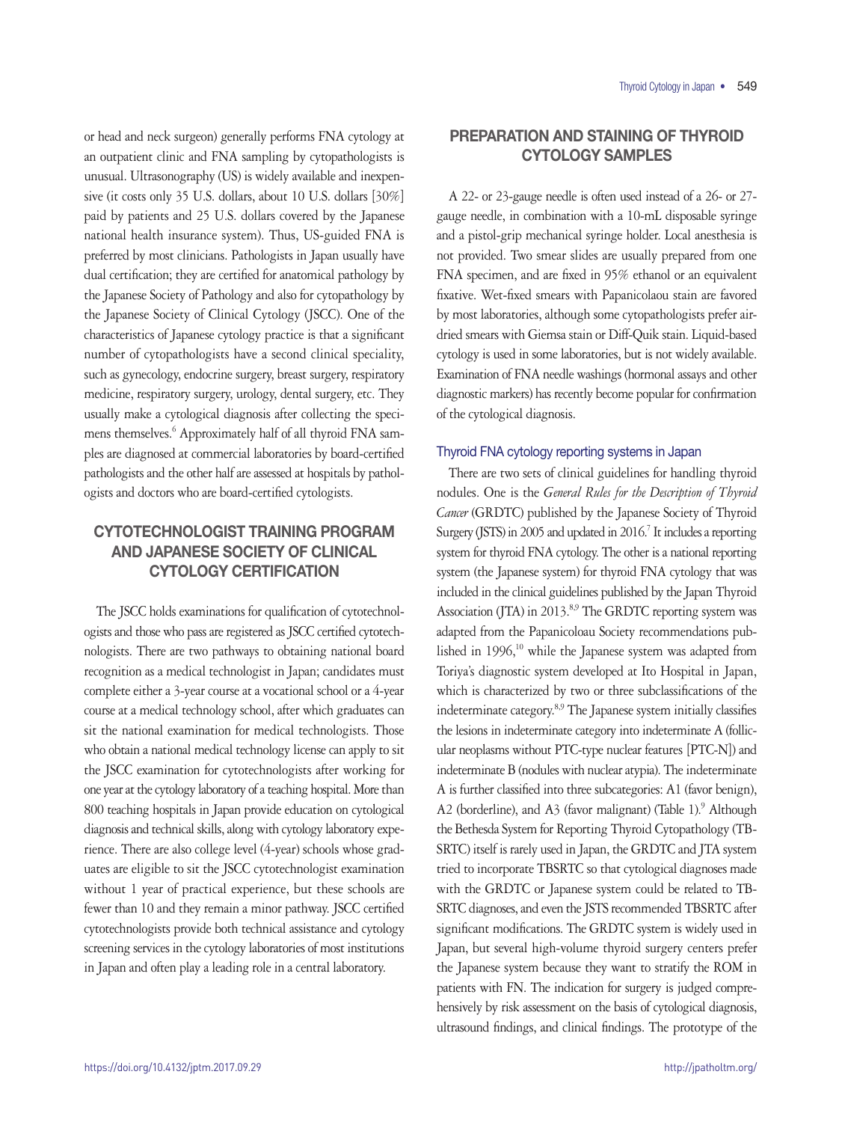or head and neck surgeon) generally performs FNA cytology at an outpatient clinic and FNA sampling by cytopathologists is unusual. Ultrasonography (US) is widely available and inexpensive (it costs only 35 U.S. dollars, about 10 U.S. dollars [30%] paid by patients and 25 U.S. dollars covered by the Japanese national health insurance system). Thus, US-guided FNA is preferred by most clinicians. Pathologists in Japan usually have dual certification; they are certified for anatomical pathology by the Japanese Society of Pathology and also for cytopathology by the Japanese Society of Clinical Cytology (JSCC). One of the characteristics of Japanese cytology practice is that a significant number of cytopathologists have a second clinical speciality, such as gynecology, endocrine surgery, breast surgery, respiratory medicine, respiratory surgery, urology, dental surgery, etc. They usually make a cytological diagnosis after collecting the specimens themselves.<sup>6</sup> Approximately half of all thyroid FNA samples are diagnosed at commercial laboratories by board-certified pathologists and the other half are assessed at hospitals by pathologists and doctors who are board-certified cytologists.

# CYTOTECHNOLOGIST TRAINING PROGRAM AND JAPANESE SOCIETY OF CLINICAL CYTOLOGY CERTIFICATION

The JSCC holds examinations for qualification of cytotechnologists and those who pass are registered as JSCC certified cytotechnologists. There are two pathways to obtaining national board recognition as a medical technologist in Japan; candidates must complete either a 3-year course at a vocational school or a 4-year course at a medical technology school, after which graduates can sit the national examination for medical technologists. Those who obtain a national medical technology license can apply to sit the JSCC examination for cytotechnologists after working for one year at the cytology laboratory of a teaching hospital. More than 800 teaching hospitals in Japan provide education on cytological diagnosis and technical skills, along with cytology laboratory experience. There are also college level (4-year) schools whose graduates are eligible to sit the JSCC cytotechnologist examination without 1 year of practical experience, but these schools are fewer than 10 and they remain a minor pathway. JSCC certified cytotechnologists provide both technical assistance and cytology screening services in the cytology laboratories of most institutions in Japan and often play a leading role in a central laboratory.

## PREPARATION AND STAINING OF THYROID CYTOLOGY SAMPLES

A 22- or 23-gauge needle is often used instead of a 26- or 27 gauge needle, in combination with a 10-mL disposable syringe and a pistol-grip mechanical syringe holder. Local anesthesia is not provided. Two smear slides are usually prepared from one FNA specimen, and are fixed in 95% ethanol or an equivalent fixative. Wet-fixed smears with Papanicolaou stain are favored by most laboratories, although some cytopathologists prefer airdried smears with Giemsa stain or Diff-Quik stain. Liquid-based cytology is used in some laboratories, but is not widely available. Examination of FNA needle washings (hormonal assays and other diagnostic markers) has recently become popular for confirmation of the cytological diagnosis.

#### Thyroid FNA cytology reporting systems in Japan

There are two sets of clinical guidelines for handling thyroid nodules. One is the *General Rules for the Description of Thyroid Cancer* (GRDTC) published by the Japanese Society of Thyroid Surgery (JSTS) in 2005 and updated in 2016.<sup>7</sup> It includes a reporting system for thyroid FNA cytology. The other is a national reporting system (the Japanese system) for thyroid FNA cytology that was included in the clinical guidelines published by the Japan Thyroid Association (JTA) in 2013.<sup>8,9</sup> The GRDTC reporting system was adapted from the Papanicoloau Society recommendations published in  $1996$ ,<sup>10</sup> while the Japanese system was adapted from Toriya's diagnostic system developed at Ito Hospital in Japan, which is characterized by two or three subclassifications of the indeterminate category.8,9 The Japanese system initially classifies the lesions in indeterminate category into indeterminate A (follicular neoplasms without PTC-type nuclear features [PTC-N]) and indeterminate B (nodules with nuclear atypia). The indeterminate A is further classified into three subcategories: A1 (favor benign), A2 (borderline), and A3 (favor malignant) (Table 1).<sup>9</sup> Although the Bethesda System for Reporting Thyroid Cytopathology (TB-SRTC) itself is rarely used in Japan, the GRDTC and JTA system tried to incorporate TBSRTC so that cytological diagnoses made with the GRDTC or Japanese system could be related to TB-SRTC diagnoses, and even the JSTS recommended TBSRTC after significant modifications. The GRDTC system is widely used in Japan, but several high-volume thyroid surgery centers prefer the Japanese system because they want to stratify the ROM in patients with FN. The indication for surgery is judged comprehensively by risk assessment on the basis of cytological diagnosis, ultrasound findings, and clinical findings. The prototype of the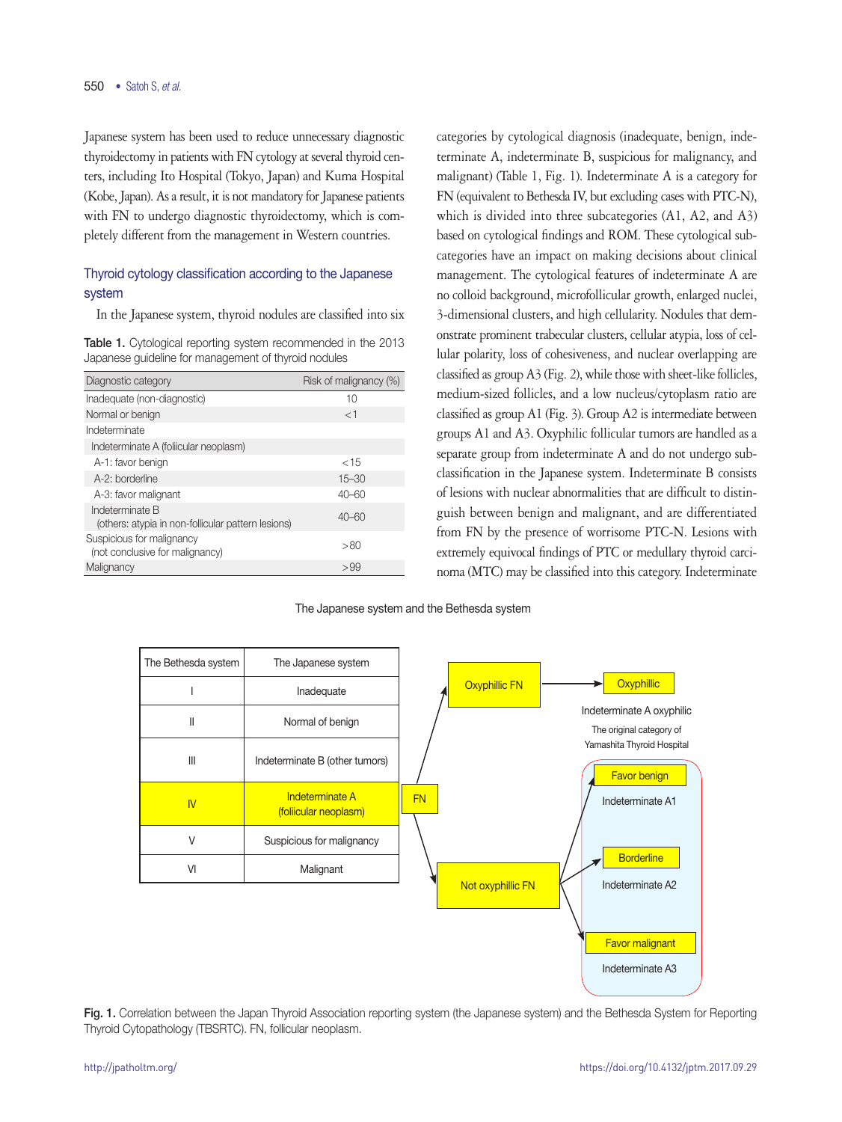Japanese system has been used to reduce unnecessary diagnostic thyroidectomy in patients with FN cytology at several thyroid centers, including Ito Hospital (Tokyo, Japan) and Kuma Hospital (Kobe, Japan). As a result, it is not mandatory for Japanese patients with FN to undergo diagnostic thyroidectomy, which is completely different from the management in Western countries.

## Thyroid cytology classification according to the Japanese system

In the Japanese system, thyroid nodules are classified into six

| Table 1. Cytological reporting system recommended in the 2013 |  |
|---------------------------------------------------------------|--|
| Japanese guideline for management of thyroid nodules          |  |

| Diagnostic category                                                   | Risk of malignancy (%) |
|-----------------------------------------------------------------------|------------------------|
| Inadequate (non-diagnostic)                                           | 10                     |
| Normal or benign                                                      | < 1                    |
| Indeterminate                                                         |                        |
| Indeterminate A (foliicular neoplasm)                                 |                        |
| A-1: favor benign                                                     | < 15                   |
| A-2: borderline                                                       | $15 - 30$              |
| A-3: favor malignant                                                  | $40 - 60$              |
| Indeterminate B<br>(others: atypia in non-follicular pattern lesions) | $40 - 60$              |
| Suspicious for malignancy<br>(not conclusive for malignancy)          | > 80                   |
| Malignancy                                                            | >99                    |

categories by cytological diagnosis (inadequate, benign, indeterminate A, indeterminate B, suspicious for malignancy, and malignant) (Table 1, Fig. 1). Indeterminate A is a category for FN (equivalent to Bethesda IV, but excluding cases with PTC-N), which is divided into three subcategories (A1, A2, and A3) based on cytological findings and ROM. These cytological subcategories have an impact on making decisions about clinical management. The cytological features of indeterminate A are no colloid background, microfollicular growth, enlarged nuclei, 3-dimensional clusters, and high cellularity. Nodules that demonstrate prominent trabecular clusters, cellular atypia, loss of cellular polarity, loss of cohesiveness, and nuclear overlapping are classified as group A3 (Fig. 2), while those with sheet-like follicles, medium-sized follicles, and a low nucleus/cytoplasm ratio are classified as group A1 (Fig. 3). Group A2 is intermediate between groups A1 and A3. Oxyphilic follicular tumors are handled as a separate group from indeterminate A and do not undergo subclassification in the Japanese system. Indeterminate B consists of lesions with nuclear abnormalities that are difficult to distinguish between benign and malignant, and are differentiated from FN by the presence of worrisome PTC-N. Lesions with extremely equivocal findings of PTC or medullary thyroid carcinoma (MTC) may be classified into this category. Indeterminate

#### The Japanese system and the Bethesda system



Fig. 1. Correlation between the Japan Thyroid Association reporting system (the Japanese system) and the Bethesda System for Reporting Thyroid Cytopathology (TBSRTC). FN, follicular neoplasm.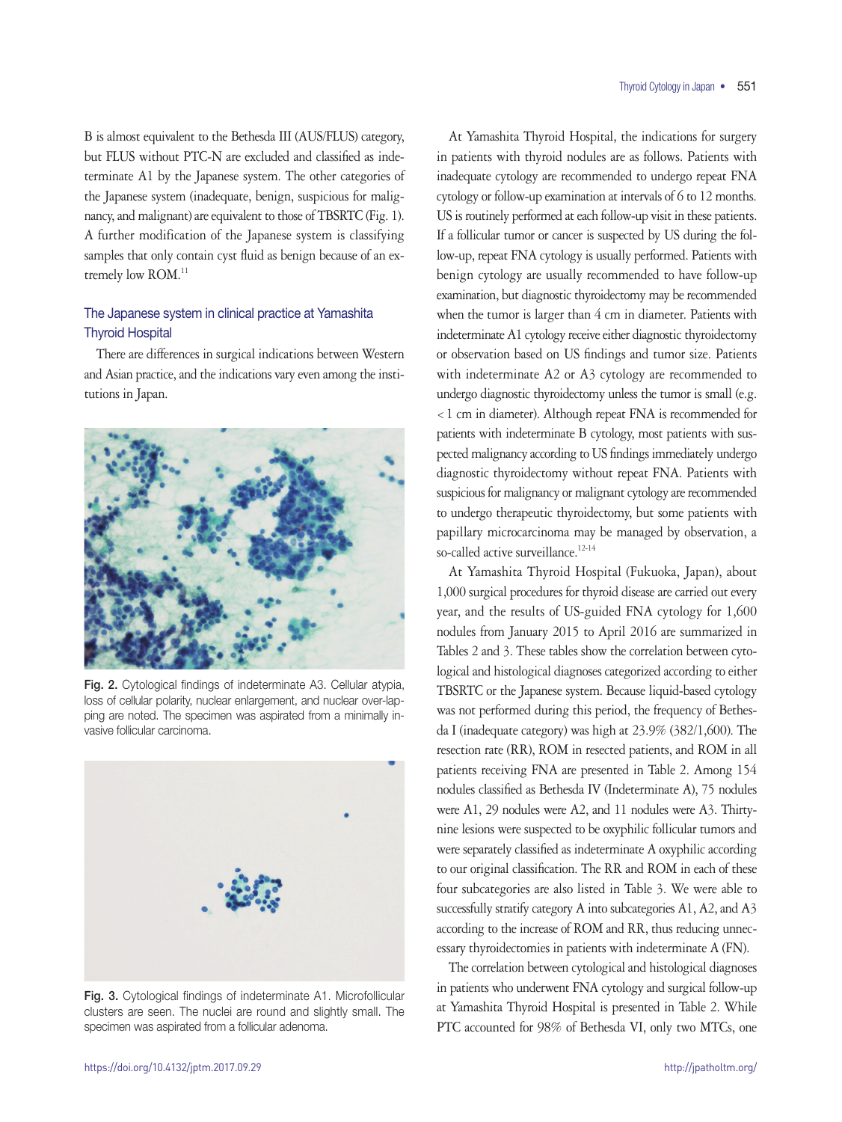B is almost equivalent to the Bethesda III (AUS/FLUS) category, but FLUS without PTC-N are excluded and classified as indeterminate A1 by the Japanese system. The other categories of the Japanese system (inadequate, benign, suspicious for malignancy, and malignant) are equivalent to those of TBSRTC (Fig. 1). A further modification of the Japanese system is classifying samples that only contain cyst fluid as benign because of an extremely low ROM.<sup>11</sup>

## The Japanese system in clinical practice at Yamashita Thyroid Hospital

There are differences in surgical indications between Western and Asian practice, and the indications vary even among the institutions in Japan.



Fig. 2. Cytological findings of indeterminate A3. Cellular atypia, loss of cellular polarity, nuclear enlargement, and nuclear over-lapping are noted. The specimen was aspirated from a minimally invasive follicular carcinoma.



Fig. 3. Cytological findings of indeterminate A1. Microfollicular clusters are seen. The nuclei are round and slightly small. The specimen was aspirated from a follicular adenoma.

At Yamashita Thyroid Hospital, the indications for surgery in patients with thyroid nodules are as follows. Patients with inadequate cytology are recommended to undergo repeat FNA cytology or follow-up examination at intervals of 6 to 12 months. US is routinely performed at each follow-up visit in these patients. If a follicular tumor or cancer is suspected by US during the follow-up, repeat FNA cytology is usually performed. Patients with benign cytology are usually recommended to have follow-up examination, but diagnostic thyroidectomy may be recommended when the tumor is larger than 4 cm in diameter. Patients with indeterminate A1 cytology receive either diagnostic thyroidectomy or observation based on US findings and tumor size. Patients with indeterminate A2 or A3 cytology are recommended to undergo diagnostic thyroidectomy unless the tumor is small (e.g. <1 cm in diameter). Although repeat FNA is recommended for patients with indeterminate B cytology, most patients with suspected malignancy according to US findings immediately undergo diagnostic thyroidectomy without repeat FNA. Patients with suspicious for malignancy or malignant cytology are recommended to undergo therapeutic thyroidectomy, but some patients with papillary microcarcinoma may be managed by observation, a so-called active surveillance.<sup>12-14</sup>

At Yamashita Thyroid Hospital (Fukuoka, Japan), about 1,000 surgical procedures for thyroid disease are carried out every year, and the results of US-guided FNA cytology for 1,600 nodules from January 2015 to April 2016 are summarized in Tables 2 and 3. These tables show the correlation between cytological and histological diagnoses categorized according to either TBSRTC or the Japanese system. Because liquid-based cytology was not performed during this period, the frequency of Bethesda I (inadequate category) was high at 23.9% (382/1,600). The resection rate (RR), ROM in resected patients, and ROM in all patients receiving FNA are presented in Table 2. Among 154 nodules classified as Bethesda IV (Indeterminate A), 75 nodules were A1, 29 nodules were A2, and 11 nodules were A3. Thirtynine lesions were suspected to be oxyphilic follicular tumors and were separately classified as indeterminate A oxyphilic according to our original classification. The RR and ROM in each of these four subcategories are also listed in Table 3. We were able to successfully stratify category A into subcategories A1, A2, and A3 according to the increase of ROM and RR, thus reducing unnecessary thyroidectomies in patients with indeterminate A (FN).

The correlation between cytological and histological diagnoses in patients who underwent FNA cytology and surgical follow-up at Yamashita Thyroid Hospital is presented in Table 2. While PTC accounted for 98% of Bethesda VI, only two MTCs, one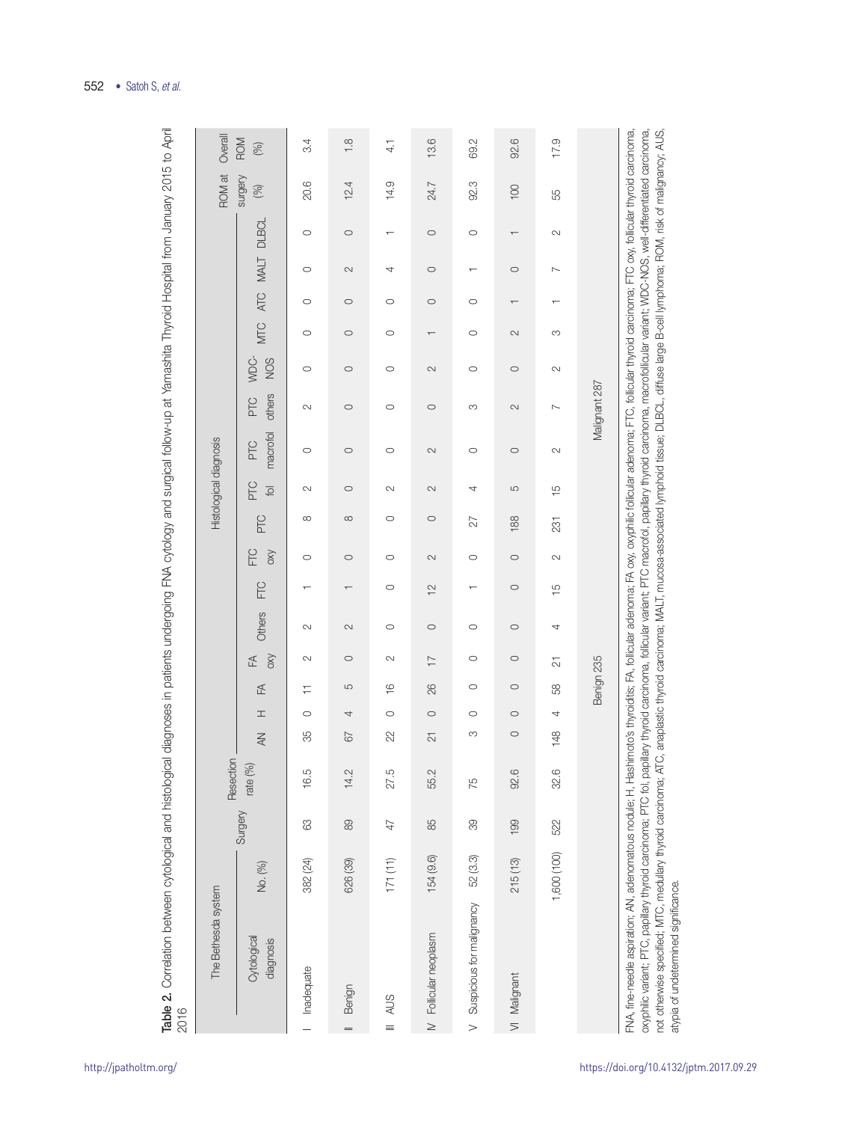| ì<br>ł                                                          |  |
|-----------------------------------------------------------------|--|
| Ś<br>į                                                          |  |
| ĺ                                                               |  |
|                                                                 |  |
|                                                                 |  |
| - 14545                                                         |  |
| $\overline{a}$<br>.<br>:                                        |  |
|                                                                 |  |
| 5<br>5<br>5                                                     |  |
| ś<br>ī                                                          |  |
| ion Soo                                                         |  |
|                                                                 |  |
| j<br>ĺ                                                          |  |
|                                                                 |  |
| $\frac{1}{2}$<br>j                                              |  |
| )<br>)<br>)<br>ואטר באוט                                        |  |
|                                                                 |  |
| j                                                               |  |
| 5                                                               |  |
|                                                                 |  |
| j<br>F                                                          |  |
|                                                                 |  |
| $\frac{1}{2}$<br>$\ddot{ }$                                     |  |
| Ó<br>֖֖֖֖֖֖֖֖ׅ֖֖֧֪֪ׅ֖֚֚֚֚֚֚֚֚֚֚֚֚֚֚֚֚֚֚֚֚֚֚֚֚֚֚֚֬֝֝֓֞<br>ׇ֚֬֓֡֡ |  |
| in m                                                            |  |
|                                                                 |  |
|                                                                 |  |
| ׇ֚֬֓֡֡                                                          |  |
| $\frac{1}{2}$<br>į                                              |  |
|                                                                 |  |
|                                                                 |  |
|                                                                 |  |
|                                                                 |  |
| 5                                                               |  |
| j                                                               |  |
| i                                                               |  |
| $\frac{5}{2}$                                                   |  |
|                                                                 |  |
| Š                                                               |  |
| j                                                               |  |
| j                                                               |  |
| $\frac{1}{2}$                                                   |  |
| č<br>ΣN<br>Δ                                                    |  |
| !                                                               |  |
|                                                                 |  |
| $\ddot{\phantom{0}}$<br>)                                       |  |
| ׇ֚֬֡                                                            |  |
| i<br>)                                                          |  |
|                                                                 |  |
| <br>j                                                           |  |
|                                                                 |  |
|                                                                 |  |
|                                                                 |  |
|                                                                 |  |
|                                                                 |  |
|                                                                 |  |
|                                                                 |  |
|                                                                 |  |
|                                                                 |  |
|                                                                 |  |
| uses in patients un<br>Ī<br>١                                   |  |
| I<br>ن<br>آ                                                     |  |
| 55                                                              |  |
| Ó                                                               |  |
| i<br>١<br>I<br>֧֦֧֢ׅ֖֚֚֚֚֬֬                                     |  |
| I<br>ׇ֚֚֚֕                                                      |  |
|                                                                 |  |
|                                                                 |  |
|                                                                 |  |
| j<br>֚֬֕<br>l                                                   |  |
| I<br>ׇ֚֬֓֡֡                                                     |  |
| I<br>l<br>ì                                                     |  |
| ١                                                               |  |
|                                                                 |  |
|                                                                 |  |
| j                                                               |  |
| l                                                               |  |
| )<br>$\ddot{\phantom{0}}$                                       |  |
| l                                                               |  |
| l                                                               |  |
| 1<br>Ì<br>ׇ֚֬֕                                                  |  |
|                                                                 |  |
| ī                                                               |  |
| j<br>Ì                                                          |  |
|                                                                 |  |
|                                                                 |  |
|                                                                 |  |
| í                                                               |  |

| The Bethesda system                                                                                                                                                                                                                                                                                                                                                                                                                                                                                                                                                                                                                                                                                           |             |                | Resection |                 |         |            |                         |         |                |                |            |                       | Histological diagnosis |                      |                         |            |         |         |                | ROM at         | Overall           |
|---------------------------------------------------------------------------------------------------------------------------------------------------------------------------------------------------------------------------------------------------------------------------------------------------------------------------------------------------------------------------------------------------------------------------------------------------------------------------------------------------------------------------------------------------------------------------------------------------------------------------------------------------------------------------------------------------------------|-------------|----------------|-----------|-----------------|---------|------------|-------------------------|---------|----------------|----------------|------------|-----------------------|------------------------|----------------------|-------------------------|------------|---------|---------|----------------|----------------|-------------------|
| Cytological<br>diagnosis                                                                                                                                                                                                                                                                                                                                                                                                                                                                                                                                                                                                                                                                                      | No. (%)     | Surgery        | rate (%)  | $\leq$          | H       | 氐          | <b>XXO</b><br>氐         | Others  | EC             | EC<br>$\times$ | <b>DLG</b> | DLC<br>$\overline{Q}$ | macrofol<br><b>PTC</b> | others<br><b>PTC</b> | WDC-<br>NO <sub>S</sub> | <b>MTC</b> | ATC     | MALT    | <b>DLBCL</b>   | Surgery<br>(%) | <b>ROM</b><br>(%) |
| Inadequate                                                                                                                                                                                                                                                                                                                                                                                                                                                                                                                                                                                                                                                                                                    | 382 (24)    | $\mathbb S$    | 16.5      | 85              | $\circ$ | ∓          | $\sim$                  | $\sim$  |                | $\circ$        | $\infty$   | $\sim$                | $\circ$                | $\sim$               | $\circ$                 | $\circ$    | $\circ$ | $\circ$ | $\circ$        | 20.6           | 3.4               |
| Benign                                                                                                                                                                                                                                                                                                                                                                                                                                                                                                                                                                                                                                                                                                        | 626 (39)    | 89             | 14.2      | 67              | 4       | LO         | $\circ$                 | 2       |                | $\circ$        | $\infty$   | $\circ$               | $\circ$                | $\circ$              | $\circ$                 | $\circ$    | $\circ$ | $\sim$  | $\circ$        | 12.4           | $\frac{8}{1}$     |
| $\cong$ MIS                                                                                                                                                                                                                                                                                                                                                                                                                                                                                                                                                                                                                                                                                                   | 171(11)     | $\overline{4}$ | 27.5      | 22              | $\circ$ | $\cong$    | $\sim$                  | $\circ$ | $\circ$        | $\circ$        | $\circ$    | $\sim$                | $\circ$                | $\circ$              | $\circ$                 | $\circ$    | $\circ$ | 4       |                | 14.9           | 4.1               |
| IV Follicular neoplasm                                                                                                                                                                                                                                                                                                                                                                                                                                                                                                                                                                                                                                                                                        | 154 (9.6)   | 88             | 55.2      | $\overline{21}$ | $\circ$ | 26         | $\overline{1}$          | $\circ$ | $\overline{C}$ | $\sim$         | $\circ$    | $\sim$                | $\sim$                 | $\circ$              | $\sim$                  |            | $\circ$ | $\circ$ | $\circ$        | 24.7           | 13.6              |
| Suspicious for malignancy<br>$\mathbf{r}$                                                                                                                                                                                                                                                                                                                                                                                                                                                                                                                                                                                                                                                                     | 52 (3.3)    | 89             | 75        | က               | $\circ$ | $\circ$    | $\circ$                 | $\circ$ |                | $\circ$        | 27         | 4                     | $\circ$                | က                    | $\circ$                 | $\circ$    | $\circ$ |         | $\circ$        | 92.3           | 69.2              |
| VI Malignant                                                                                                                                                                                                                                                                                                                                                                                                                                                                                                                                                                                                                                                                                                  | 215(13)     | 199            | 92.6      | $\circ$         | $\circ$ | $\circ$    | $\circ$                 | $\circ$ | $\circ$        | $\circ$        | 188        | 5                     | $\circ$                | $\sim$               | $\circ$                 | $\sim$     |         | $\circ$ | $\overline{ }$ | 100            | 92.6              |
|                                                                                                                                                                                                                                                                                                                                                                                                                                                                                                                                                                                                                                                                                                               | 1,600 (100) | 522            | 32.6      | 148             | 4       | 89         | $\overline{\mathbf{C}}$ | 4       | $\overline{5}$ | $\sim$         | 231        | $\frac{5}{1}$         | $\sim$                 | $\sim$               | $\sim$                  | S          |         | $\sim$  | $\sim$         | 55             | 17.9              |
|                                                                                                                                                                                                                                                                                                                                                                                                                                                                                                                                                                                                                                                                                                               |             |                |           |                 |         | Benign 235 |                         |         |                |                |            |                       |                        | Malignant 287        |                         |            |         |         |                |                |                   |
| oxyphilic variant; PTC, papillary thyroid carcinoma; PTC fol, papillary thyroid carcinoma, follicular variant; PTC macrofol, papillary thyroid carcinoma, macrofollicular variant; WDC-NOS, well-differentiated carcinoma,<br>FNA, fine-needle aspiration; AN, adenomatous nodule; H, Hashimoto's thyroiditis; FA, follicular adenoma; FRO, follicular thyroid carcinoma; FTC oxy, follicular thyroid carcinoma; FTC oxy, follicular thyroid carcinoma,<br>not otherwise specified; MTC, medullary thyroid carcinoma; ATC, anaplastic thyroid carcinoma; MALT, mucosa-associated lymphoid tissue; DLBCL, diffuse large B-cell lymphoma; ROM, risk of malignancy; AUS,<br>atypia of undetermined significance. |             |                |           |                 |         |            |                         |         |                |                |            |                       |                        |                      |                         |            |         |         |                |                |                   |

552 • Satoh S, *et al.*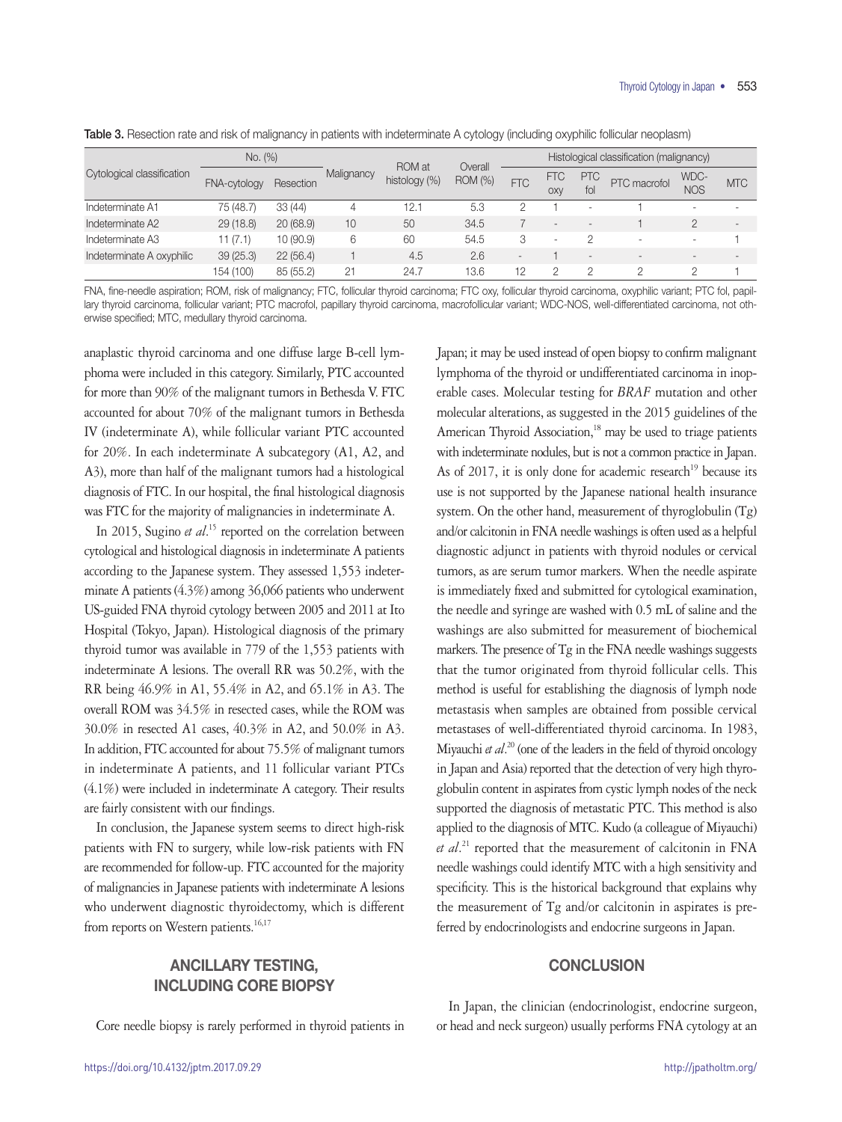|                            | No. (%)      |           |            | ROM at        | Overall | Histological classification (malignancy) |                          |                          |              |                    |                          |  |  |
|----------------------------|--------------|-----------|------------|---------------|---------|------------------------------------------|--------------------------|--------------------------|--------------|--------------------|--------------------------|--|--|
| Cytological classification | FNA-cytology | Resection | Malignancy | histology (%) | ROM (%) | <b>FTC</b>                               | <b>FTC</b><br><b>OXV</b> | <b>PTC</b><br>fol        | PTC macrofol | WDC-<br><b>NOS</b> | <b>MTC</b>               |  |  |
| Indeterminate A1           | 75 (48.7)    | 33(44)    | 4          | 12.1          | 5.3     |                                          |                          | ٠                        |              | $\sim$             | ٠                        |  |  |
| Indeterminate A2           | 29(18.8)     | 20(68.9)  | 10         | 50            | 34.5    |                                          | $\sim$                   | $\overline{\phantom{a}}$ |              |                    | $\overline{\phantom{a}}$ |  |  |
| Indeterminate A3           | 11(7.1)      | 10 (90.9) | 6          | 60            | 54.5    | 3                                        | $\overline{\phantom{a}}$ |                          |              | $\sim$             |                          |  |  |
| Indeterminate A oxyphilic  | 39(25.3)     | 22(56.4)  |            | 4.5           | 2.6     | $\overline{\phantom{a}}$                 |                          | $\overline{\phantom{a}}$ |              |                    |                          |  |  |
|                            | 154 (100)    | 85 (55.2) | 21         | 24.7          | 13.6    | 12                                       | 2                        | っ                        |              |                    |                          |  |  |

Table 3. Resection rate and risk of malignancy in patients with indeterminate A cytology (including oxyphilic follicular neoplasm)

FNA, fine-needle aspiration; ROM, risk of malignancy; FTC, follicular thyroid carcinoma; FTC oxy, follicular thyroid carcinoma, oxyphilic variant; PTC fol, papillary thyroid carcinoma, follicular variant; PTC macrofol, papillary thyroid carcinoma, macrofollicular variant; WDC-NOS, well-differentiated carcinoma, not otherwise specified; MTC, medullary thyroid carcinoma.

anaplastic thyroid carcinoma and one diffuse large B-cell lymphoma were included in this category. Similarly, PTC accounted for more than 90% of the malignant tumors in Bethesda V. FTC accounted for about 70% of the malignant tumors in Bethesda IV (indeterminate A), while follicular variant PTC accounted for 20%. In each indeterminate A subcategory (A1, A2, and A3), more than half of the malignant tumors had a histological diagnosis of FTC. In our hospital, the final histological diagnosis was FTC for the majority of malignancies in indeterminate A.

In 2015, Sugino *et al.*<sup>15</sup> reported on the correlation between cytological and histological diagnosis in indeterminate A patients according to the Japanese system. They assessed 1,553 indeterminate A patients (4.3%) among 36,066 patients who underwent US-guided FNA thyroid cytology between 2005 and 2011 at Ito Hospital (Tokyo, Japan). Histological diagnosis of the primary thyroid tumor was available in 779 of the 1,553 patients with indeterminate A lesions. The overall RR was 50.2%, with the RR being 46.9% in A1, 55.4% in A2, and 65.1% in A3. The overall ROM was 34.5% in resected cases, while the ROM was 30.0% in resected A1 cases, 40.3% in A2, and 50.0% in A3. In addition, FTC accounted for about 75.5% of malignant tumors in indeterminate A patients, and 11 follicular variant PTCs (4.1%) were included in indeterminate A category. Their results are fairly consistent with our findings.

In conclusion, the Japanese system seems to direct high-risk patients with FN to surgery, while low-risk patients with FN are recommended for follow-up. FTC accounted for the majority of malignancies in Japanese patients with indeterminate A lesions who underwent diagnostic thyroidectomy, which is different from reports on Western patients.<sup>16,17</sup>

## ANCILLARY TESTING, INCLUDING CORE BIOPSY

Core needle biopsy is rarely performed in thyroid patients in

Japan; it may be used instead of open biopsy to confirm malignant lymphoma of the thyroid or undifferentiated carcinoma in inoperable cases. Molecular testing for *BRAF* mutation and other molecular alterations, as suggested in the 2015 guidelines of the American Thyroid Association,<sup>18</sup> may be used to triage patients with indeterminate nodules, but is not a common practice in Japan. As of 2017, it is only done for academic research<sup>19</sup> because its use is not supported by the Japanese national health insurance system. On the other hand, measurement of thyroglobulin (Tg) and/or calcitonin in FNA needle washings is often used as a helpful diagnostic adjunct in patients with thyroid nodules or cervical tumors, as are serum tumor markers. When the needle aspirate is immediately fixed and submitted for cytological examination, the needle and syringe are washed with 0.5 mL of saline and the washings are also submitted for measurement of biochemical markers. The presence of Tg in the FNA needle washings suggests that the tumor originated from thyroid follicular cells. This method is useful for establishing the diagnosis of lymph node metastasis when samples are obtained from possible cervical metastases of well-differentiated thyroid carcinoma. In 1983, Miyauchi *et al*.<sup>20</sup> (one of the leaders in the field of thyroid oncology in Japan and Asia) reported that the detection of very high thyroglobulin content in aspirates from cystic lymph nodes of the neck supported the diagnosis of metastatic PTC. This method is also applied to the diagnosis of MTC. Kudo (a colleague of Miyauchi) et al.<sup>21</sup> reported that the measurement of calcitonin in FNA needle washings could identify MTC with a high sensitivity and specificity. This is the historical background that explains why the measurement of Tg and/or calcitonin in aspirates is preferred by endocrinologists and endocrine surgeons in Japan.

#### **CONCLUSION**

In Japan, the clinician (endocrinologist, endocrine surgeon, or head and neck surgeon) usually performs FNA cytology at an